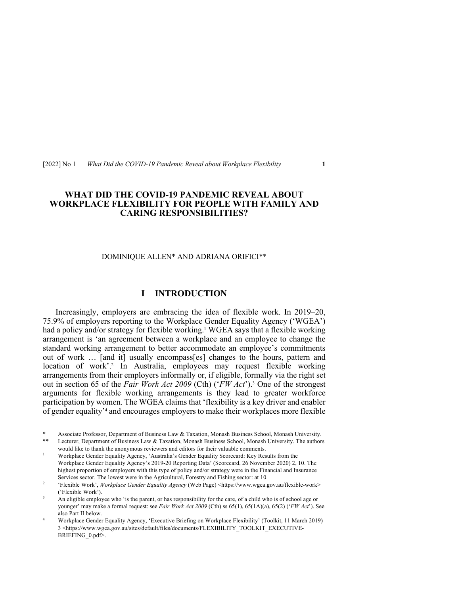# **WHAT DID THE COVID-19 PANDEMIC REVEAL ABOUT WORKPLACE FLEXIBILITY FOR PEOPLE WITH FAMILY AND CARING RESPONSIBILITIES?**

## DOMINIQUE ALLEN\* AND ADRIANA ORIFICI\*\*

## **I INTRODUCTION**

Increasingly, employers are embracing the idea of flexible work. In 2019–20, 75.9% of employers reporting to the Workplace Gender Equality Agency ('WGEA') had a policy and/or strategy for flexible working.<sup>1</sup> WGEA says that a flexible working arrangement is 'an agreement between a workplace and an employee to change the standard working arrangement to better accommodate an employee's commitments out of work … [and it] usually encompass[es] changes to the hours, pattern and location of work'. <sup>2</sup> In Australia, employees may request flexible working arrangements from their employers informally or, if eligible, formally via the right set out in section 65 of the *Fair Work Act 2009* (Cth) ('*FW Act*'). <sup>3</sup> One of the strongest arguments for flexible working arrangements is they lead to greater workforce participation by women. The WGEA claims that 'flexibility is a key driver and enabler of gender equality'4 and encourages employers to make their workplaces more flexible

<sup>\*</sup> Associate Professor, Department of Business Law & Taxation, Monash Business School, Monash University.

Lecturer, Department of Business Law & Taxation, Monash Business School, Monash University. The authors would like to thank the anonymous reviewers and editors for their valuable comments.

<sup>&</sup>lt;sup>1</sup> Workplace Gender Equality Agency, 'Australia's Gender Equality Scorecard: Key Results from the Workplace Gender Equality Agency's 2019-20 Reporting Data' (Scorecard, 26 November 2020) 2, 10. The highest proportion of employers with this type of policy and/or strategy were in the Financial and Insurance Services sector. The lowest were in the Agricultural, Forestry and Fishing sector: at 10.

<sup>&</sup>lt;sup>2</sup> 'Flexible Work', *Workplace Gender Equality Agency* (Web Page) <https://www.wgea.gov.au/flexible-work> ('Flexible Work').

<sup>&</sup>lt;sup>3</sup> An eligible employee who 'is the parent, or has responsibility for the care, of a child who is of school age or younger' may make a formal request: see *Fair Work Act 2009* (Cth) ss 65(1), 65(1A)(a), 65(2) ('*FW Act*'). See also Part II below.

<sup>4</sup> Workplace Gender Equality Agency, 'Executive Briefing on Workplace Flexibility' (Toolkit, 11 March 2019) 3 <https://www.wgea.gov.au/sites/default/files/documents/FLEXIBILITY\_TOOLKIT\_EXECUTIVE-BRIEFING\_0.pdf>.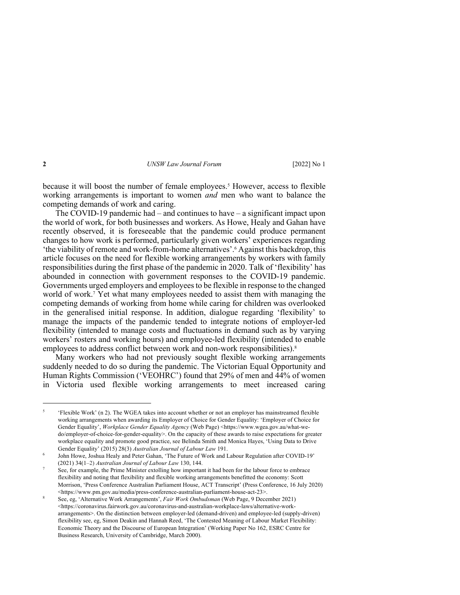because it will boost the number of female employees. <sup>5</sup> However, access to flexible working arrangements is important to women *and* men who want to balance the competing demands of work and caring.

The COVID-19 pandemic had – and continues to have – a significant impact upon the world of work, for both businesses and workers. As Howe, Healy and Gahan have recently observed, it is foreseeable that the pandemic could produce permanent changes to how work is performed, particularly given workers' experiences regarding 'the viability of remote and work-from-home alternatives'. <sup>6</sup> Against this backdrop, this article focuses on the need for flexible working arrangements by workers with family responsibilities during the first phase of the pandemic in 2020. Talk of 'flexibility' has abounded in connection with government responses to the COVID-19 pandemic. Governments urged employers and employees to be flexible in response to the changed world of work. <sup>7</sup> Yet what many employees needed to assist them with managing the competing demands of working from home while caring for children was overlooked in the generalised initial response. In addition, dialogue regarding 'flexibility' to manage the impacts of the pandemic tended to integrate notions of employer-led flexibility (intended to manage costs and fluctuations in demand such as by varying workers' rosters and working hours) and employee-led flexibility (intended to enable employees to address conflict between work and non-work responsibilities).<sup>8</sup>

Many workers who had not previously sought flexible working arrangements suddenly needed to do so during the pandemic. The Victorian Equal Opportunity and Human Rights Commission ('VEOHRC') found that 29% of men and  $44%$  of women in Victoria used flexible working arrangements to meet increased caring

<sup>&</sup>lt;sup>5</sup> 'Flexible Work' (n 2). The WGEA takes into account whether or not an employer has mainstreamed flexible working arrangements when awarding its Employer of Choice for Gender Equality: 'Employer of Choice for Gender Equality', *Workplace Gender Equality Agency* (Web Page) <https://www.wgea.gov.au/what-wedo/employer-of-choice-for-gender-equality>. On the capacity of these awards to raise expectations for greater workplace equality and promote good practice, see Belinda Smith and Monica Hayes, 'Using Data to Drive Gender Equality' (2015) 28(3) *Australian Journal of Labour Law* 191.

<sup>6</sup> John Howe, Joshua Healy and Peter Gahan, 'The Future of Work and Labour Regulation after COVID-19' (2021) 34(1–2) *Australian Journal of Labour Law* 130, 144.

<sup>&</sup>lt;sup>7</sup> See, for example, the Prime Minister extolling how important it had been for the labour force to embrace flexibility and noting that flexibility and flexible working arrangements benefitted the economy: Scott Morrison, 'Press Conference Australian Parliament House, ACT Transcript' (Press Conference, 16 July 2020) <https://www.pm.gov.au/media/press-conference-australian-parliament-house-act-23>.

<sup>8</sup> See, eg, 'Alternative Work Arrangements', *Fair Work Ombudsman* (Web Page, 9 December 2021) <https://coronavirus.fairwork.gov.au/coronavirus-and-australian-workplace-laws/alternative-workarrangements>. On the distinction between employer-led (demand-driven) and employee-led (supply-driven) flexibility see, eg, Simon Deakin and Hannah Reed, 'The Contested Meaning of Labour Market Flexibility: Economic Theory and the Discourse of European Integration' (Working Paper No 162, ESRC Centre for Business Research, University of Cambridge, March 2000).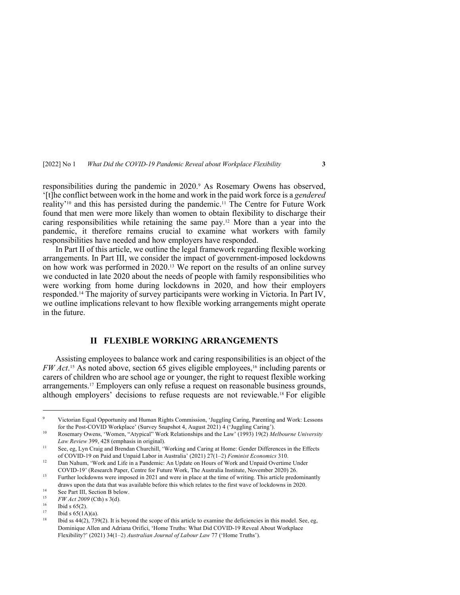responsibilities during the pandemic in 2020. <sup>9</sup> As Rosemary Owens has observed, '[t]he conflict between work in the home and work in the paid work force is a *gendered*  reality'10 and this has persisted during the pandemic.11 The Centre for Future Work found that men were more likely than women to obtain flexibility to discharge their caring responsibilities while retaining the same pay.12 More than a year into the pandemic, it therefore remains crucial to examine what workers with family responsibilities have needed and how employers have responded.

In Part II of this article, we outline the legal framework regarding flexible working arrangements. In Part III, we consider the impact of government-imposed lockdowns on how work was performed in 2020. <sup>13</sup> We report on the results of an online survey we conducted in late 2020 about the needs of people with family responsibilities who were working from home during lockdowns in 2020, and how their employers responded.14 The majority of survey participants were working in Victoria. In Part IV, we outline implications relevant to how flexible working arrangements might operate in the future.

## **II FLEXIBLE WORKING ARRANGEMENTS**

Assisting employees to balance work and caring responsibilities is an object of the *FW Act*. <sup>15</sup> As noted above, section 65 gives eligible employees, <sup>16</sup> including parents or carers of children who are school age or younger, the right to request flexible working arrangements.17 Employers can only refuse a request on reasonable business grounds, although employers' decisions to refuse requests are not reviewable.18 For eligible

<sup>9</sup> Victorian Equal Opportunity and Human Rights Commission, 'Juggling Caring, Parenting and Work: Lessons

<sup>&</sup>lt;sup>10</sup> Rosemary Owens, 'Women, "Atypical" Work Relationships and the Law' (1993) 19(2) *Melbourne University Law Review* 399, 428 (emphasis in original).

<sup>&</sup>lt;sup>11</sup> See, eg, Lyn Craig and Brendan Churchill, 'Working and Caring at Home: Gender Differences in the Effects of COVID-19 on Paid and Unpaid Labor in Australia' (2021) 27(1–2) *Feminist Economics* 310.

<sup>&</sup>lt;sup>12</sup> Dan Nahum, 'Work and Life in a Pandemic: An Update on Hours of Work and Unpaid Overtime Under COVID-19' (Research Paper, Centre for Future Work, The Australia Institute, November 2020) 26.

<sup>&</sup>lt;sup>13</sup> Further lockdowns were imposed in 2021 and were in place at the time of writing. This article predominantly draws upon the data that was available before this which relates to the first wave of lockdowns in 2020.<br>
<sup>14</sup> See Part III, Section B below.<br> *FW Act* 2009 (Cth) s 3(d).<br>
<sup>16</sup> <sup>16</sup>

 $^{16}$  Ibid s 65(2).

<sup>&</sup>lt;sup>17</sup> Ibid s  $65(1A)(a)$ .

<sup>18</sup> Ibid ss 44(2), 739(2). It is beyond the scope of this article to examine the deficiencies in this model. See, eg, Dominique Allen and Adriana Orifici, 'Home Truths: What Did COVID-19 Reveal About Workplace Flexibility?' (2021) 34(1–2) *Australian Journal of Labour Law* 77 ('Home Truths').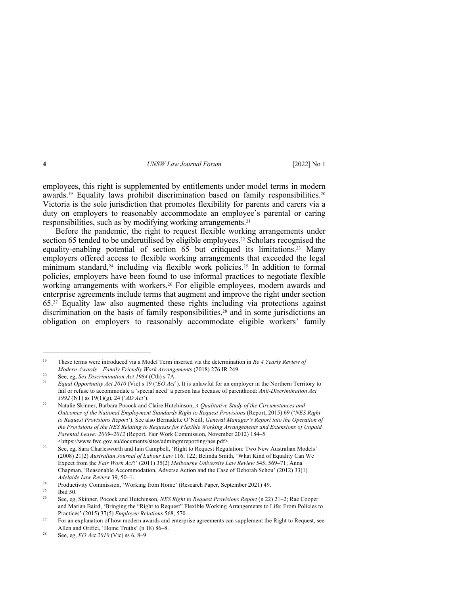employees, this right is supplemented by entitlements under model terms in modern awards.<sup>19</sup> Equality laws prohibit discrimination based on family responsibilities.<sup>20</sup> Victoria is the sole jurisdiction that promotes flexibility for parents and carers via a duty on employers to reasonably accommodate an employee's parental or caring responsibilities, such as by modifying working arrangements. 21

Before the pandemic, the right to request flexible working arrangements under section 65 tended to be underutilised by eligible employees. <sup>22</sup> Scholars recognised the equality-enabling potential of section  $65$  but critiqued its limitations.<sup>23</sup> Many employers offered access to flexible working arrangements that exceeded the legal minimum standard,<sup>24</sup> including via flexible work policies.<sup>25</sup> In addition to formal policies, employers have been found to use informal practices to negotiate flexible working arrangements with workers. <sup>26</sup> For eligible employees, modern awards and enterprise agreements include terms that augment and improve the right under section 65.27 Equality law also augmented these rights including via protections against discrimination on the basis of family responsibilities, <sup>28</sup> and in some jurisdictions an obligation on employers to reasonably accommodate eligible workers' family

<sup>19</sup> These terms were introduced via a Model Term inserted via the determination in *Re 4 Yearly Review of Modern Awards – Family Friendly Work Arrangements* (2018) 276 IR 249.

<sup>20</sup> See, eg, *Sex Discrimination Act 1984* (Cth) s 7A. 21 *Equal Opportunity Act 2010* (Vic) s 19 ('*EO Act*'). It is unlawful for an employer in the Northern Territory to fail or refuse to accommodate a 'special need' a person has because of parenthood: *Anti-Discrimination Act 1992* (NT) ss 19(1)(g), 24 ('*AD Act*').

<sup>22</sup> Natalie Skinner, Barbara Pocock and Claire Hutchinson, *A Qualitative Study of the Circumstances and Outcomes of the National Employment Standards Right to Request Provisions* (Report, 2015) 69 ('*NES Right to Request Provisions Report*'). See also Bernadette O'Neill, *General Manager's Report into the Operation of the Provisions of the NES Relating to Requests for Flexible Working Arrangements and Extensions of Unpaid Parental Leave: 2009–2012* (Report, Fair Work Commission, November 2012) 184–5 <https://www.fwc.gov.au/documents/sites/admingmreporting/nes.pdf>.

<sup>&</sup>lt;sup>23</sup> See, eg, Sara Charlesworth and Iain Campbell, 'Right to Request Regulation: Two New Australian Models' (2008) 21(2) *Australian Journal of Labour Law* 116, 122; Belinda Smith, 'What Kind of Equality Can We Expect from the *Fair Work Act*?' (2011) 35(2) *Melbourne University Law Review* 545, 569–71; Anna Chapman, 'Reasonable Accommodation, Adverse Action and the Case of Deborah Schou' (2012) 33(1) *Adelaide Law Review* 39, 50–1.

<sup>24</sup> Productivity Commission, 'Working from Home' (Research Paper, September 2021) 49. 25 Ibid 50. 26 See, eg, Skinner, Pocock and Hutchinson, *NES Right to Request Provisions Report* (n 22) 21–2; Rae Cooper

and Marian Baird, 'Bringing the "Right to Request" Flexible Working Arrangements to Life: From Policies to Practices' (2015) 37(5) *Employee Relations* 568, 570.

<sup>&</sup>lt;sup>27</sup> For an explanation of how modern awards and enterprise agreements can supplement the Right to Request, see Allen and Orifici, 'Home Truths' (n 18) 86–8.

<sup>28</sup> See, eg, *EO Act 2010* (Vic) ss 6, 8–9.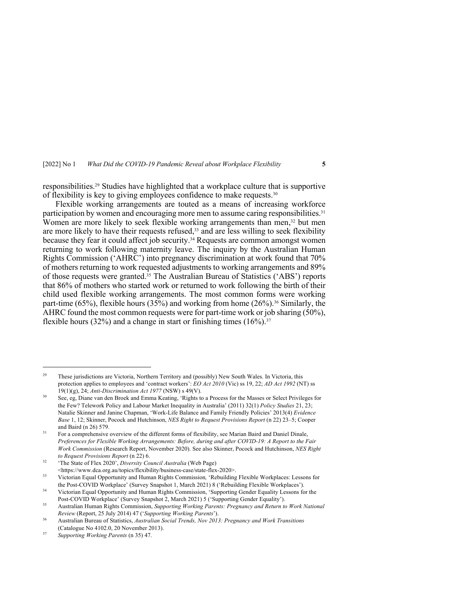responsibilities.29 Studies have highlighted that a workplace culture that is supportive of flexibility is key to giving employees confidence to make requests.30

Flexible working arrangements are touted as a means of increasing workforce participation by women and encouraging more men to assume caring responsibilities.31 Women are more likely to seek flexible working arrangements than men, <sup>32</sup> but men are more likely to have their requests refused, <sup>33</sup> and are less willing to seek flexibility because they fear it could affect job security.34 Requests are common amongst women returning to work following maternity leave. The inquiry by the Australian Human Rights Commission ('AHRC') into pregnancy discrimination at work found that 70% of mothers returning to work requested adjustments to working arrangements and 89% of those requests were granted.35 The Australian Bureau of Statistics ('ABS') reports that 86% of mothers who started work or returned to work following the birth of their child used flexible working arrangements. The most common forms were working part-time (65%), flexible hours (35%) and working from home (26%).36 Similarly, the AHRC found the most common requests were for part-time work or job sharing (50%), flexible hours (32%) and a change in start or finishing times  $(16\%)$ .<sup>37</sup>

<sup>&</sup>lt;sup>29</sup> These jurisdictions are Victoria, Northern Territory and (possibly) New South Wales. In Victoria, this protection applies to employees and 'contract workers': *EO Act 2010* (Vic) ss 19, 22; *AD Act 1992* (NT) ss 19(1)(g), 24; *Anti-Discrimination Act 1977* (NSW) s 49(V).

<sup>30</sup> See, eg, Diane van den Broek and Emma Keating, 'Rights to a Process for the Masses or Select Privileges for the Few? Telework Policy and Labour Market Inequality in Australia' (2011) 32(1) *Policy Studies* 21, 23; Natalie Skinner and Janine Chapman, 'Work-Life Balance and Family Friendly Policies' 2013(4) *Evidence Base* 1, 12; Skinner, Pocock and Hutchinson, *NES Right to Request Provisions Report* (n 22) 23–5; Cooper and Baird (n 26) 579.

<sup>&</sup>lt;sup>31</sup> For a comprehensive overview of the different forms of flexibility, see Marian Baird and Daniel Dinale, *Preferences for Flexible Working Arrangements: Before, during and after COVID-19: A Report to the Fair Work Commission* (Research Report, November 2020). See also Skinner, Pocock and Hutchinson, *NES Right to Request Provisions Report* (n 22) 6.

<sup>&</sup>lt;sup>32</sup> 'The State of Flex 2020', *Diversity Council Australia* (Web Page) <https://www.dca.org.au/topics/flexibility/business-case/state-flex-2020>.

<sup>33</sup> Victorian Equal Opportunity and Human Rights Commission*,* 'Rebuilding Flexible Workplaces: Lessons for the Post-COVID Workplace' (Survey Snapshot 1, March 2021) 8 ('Rebuilding Flexible Workplaces').

<sup>&</sup>lt;sup>34</sup> Victorian Equal Opportunity and Human Rights Commission, 'Supporting Gender Equality Lessons for the Post-COVID Workplace' (Survey Snapshot 2, March 2021) 5 ('Supporting Gender Equality').

<sup>35</sup> Australian Human Rights Commission, *Supporting Working Parents: Pregnancy and Return to Work National Review* (Report, 25 July 2014) 47 ('*Supporting Working Parents*').

<sup>36</sup> Australian Bureau of Statistics, *Australian Social Trends, Nov 2013: Pregnancy and Work Transitions*  (Catalogue No 4102.0, 20 November 2013).

<sup>37</sup> *Supporting Working Parents* (n 35) 47.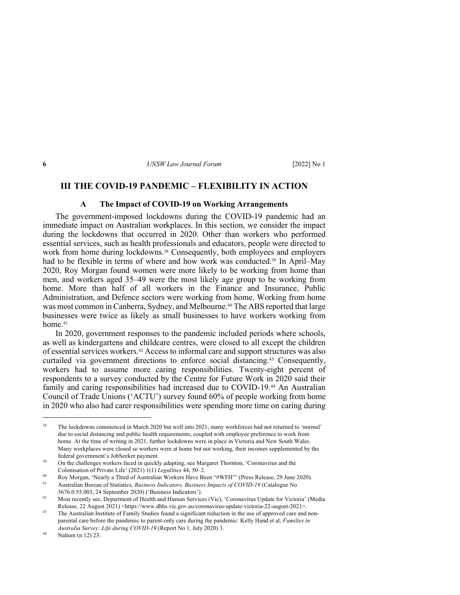# **III THE COVID-19 PANDEMIC – FLEXIBILITY IN ACTION**

## **A The Impact of COVID-19 on Working Arrangements**

The government-imposed lockdowns during the COVID-19 pandemic had an immediate impact on Australian workplaces. In this section, we consider the impact during the lockdowns that occurred in 2020. Other than workers who performed essential services, such as health professionals and educators, people were directed to work from home during lockdowns. <sup>38</sup> Consequently, both employees and employers had to be flexible in terms of where and how work was conducted.39 In April–May 2020, Roy Morgan found women were more likely to be working from home than men, and workers aged 35–49 were the most likely age group to be working from home. More than half of all workers in the Finance and Insurance, Public Administration, and Defence sectors were working from home. Working from home was most common in Canberra, Sydney, and Melbourne.<sup>40</sup> The ABS reported that large businesses were twice as likely as small businesses to have workers working from home.<sup>41</sup>

In 2020, government responses to the pandemic included periods where schools, as well as kindergartens and childcare centres, were closed to all except the children of essential services workers. <sup>42</sup> Access to informal care and support structures was also curtailed via government directions to enforce social distancing.43 Consequently, workers had to assume more caring responsibilities. Twenty-eight percent of respondents to a survey conducted by the Centre for Future Work in 2020 said their family and caring responsibilities had increased due to COVID-19.44 An Australian Council of Trade Unions ('ACTU') survey found 60% of people working from home in 2020 who also had carer responsibilities were spending more time on caring during

<sup>&</sup>lt;sup>38</sup> The lockdowns commenced in March 2020 but well into 2021, many workforces had not returned to 'normal' due to social distancing and public health requirements, coupled with employee preference to work from home. At the time of writing in 2021, further lockdowns were in place in Victoria and New South Wales. Many workplaces were closed so workers were at home but not working, their incomes supplemented by the federal government's JobSeeker payment.

<sup>&</sup>lt;sup>39</sup> On the challenges workers faced in quickly adapting, see Margaret Thornton, 'Coronavirus and the Colonisation of Private Life' (2021) 1(1) *Legalities* 44, 50–2.

<sup>40</sup> Roy Morgan, 'Nearly a Third of Australian Workers Have Been "#WFH"' (Press Release, 29 June 2020).

<sup>41</sup> Australian Bureau of Statistics, *Business Indicators, Business Impacts of COVID-19* (Catalogue No 5676.0.55.003, 24 September 2020) ('Business Indicators').

<sup>42</sup> Most recently see, Department of Health and Human Services (Vic), 'Coronavirus Update for Victoria' (Media Release, 22 August 2021) <https://www.dhhs.vic.gov.au/coronavirus-update-victoria-22-august-2021>.

<sup>&</sup>lt;sup>43</sup> The Australian Institute of Family Studies found a significant reduction in the use of approved care and nonparental care before the pandemic to parent-only care during the pandemic: Kelly Hand et al, *Families in Australia Survey: Life during COVID-19* (Report No 1, July 2020) 3.

 $^{44}$  Nahum (n 12) 23.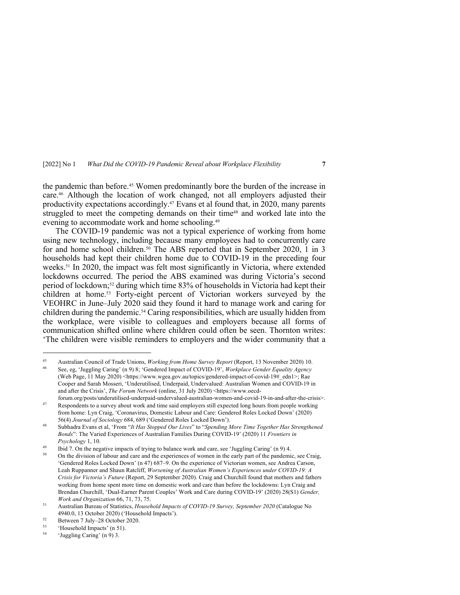the pandemic than before. <sup>45</sup> Women predominantly bore the burden of the increase in  $care<sup>46</sup>$ . Although the location of work changed, not all employers adjusted their productivity expectations accordingly.47 Evans et al found that, in 2020, many parents struggled to meet the competing demands on their time<sup>48</sup> and worked late into the evening to accommodate work and home schooling.<sup>49</sup>

The COVID-19 pandemic was not a typical experience of working from home using new technology, including because many employees had to concurrently care for and home school children.<sup>50</sup> The ABS reported that in September 2020, 1 in 3 households had kept their children home due to COVID-19 in the preceding four weeks. <sup>51</sup> In 2020, the impact was felt most significantly in Victoria, where extended lockdowns occurred. The period the ABS examined was during Victoria's second period of lockdown; <sup>52</sup> during which time 83% of households in Victoria had kept their children at home.<sup>53</sup> Forty-eight percent of Victorian workers surveyed by the VEOHRC in June–July 2020 said they found it hard to manage work and caring for children during the pandemic.54 Caring responsibilities, which are usually hidden from the workplace, were visible to colleagues and employers because all forms of communication shifted online where children could often be seen. Thornton writes: 'The children were visible reminders to employers and the wider community that a

<sup>45</sup> Australian Council of Trade Unions, *Working from Home Survey Report* (Report, 13 November 2020) 10.

<sup>46</sup> See, eg, 'Juggling Caring' (n 9) 8; 'Gendered Impact of COVID-19', *Workplace Gender Equality Agency* (Web Page, 11 May 2020) <https://www.wgea.gov.au/topics/gendered-impact-of-covid-19#\_edn1>; Rae Cooper and Sarah Mosseri, 'Underutilised, Underpaid, Undervalued: Australian Women and COVID-19 in and after the Crisis', *The Forum Network* (online, 31 July 2020) <https://www.oecd-

forum.org/posts/underutilised-underpaid-undervalued-australian-women-and-covid-19-in-and-after-the-crisis>. <sup>47</sup> Respondents to a survey about work and time said employers still expected long hours from people working from home: Lyn Craig, 'Coronavirus, Domestic Labour and Care: Gendered Roles Locked Down' (2020)

<sup>56(4)</sup> *Journal of Sociology* 684, 689 ('Gendered Roles Locked Down').<br><sup>48</sup> Subhadra Evans et al, 'From "*It Has Stopped Our Lives*" to "*Spending More Time Together Has Strengthened Bonds*": The Varied Experiences of Australian Families During COVID-19' (2020) 11 *Frontiers in Psychology* 1, 10.

<sup>&</sup>lt;sup>49</sup> Ibid 7. On the negative impacts of trying to balance work and care, see 'Juggling Caring' (n 9) 4.

<sup>50</sup> On the division of labour and care and the experiences of women in the early part of the pandemic, see Craig, 'Gendered Roles Locked Down' (n 47) 687–9. On the experience of Victorian women, see Andrea Carson, Leah Ruppanner and Shaun Ratcliff, *Worsening of Australian Women's Experiences under COVID-19: A Crisis for Victoria's Future* (Report, 29 September 2020). Craig and Churchill found that mothers and fathers working from home spent more time on domestic work and care than before the lockdowns: Lyn Craig and Brendan Churchill, 'Dual-Earner Parent Couples' Work and Care during COVID-19' (2020) 28(S1) *Gender, Work and Organization* 66, 71, 73, 75.

<sup>51</sup> Australian Bureau of Statistics, *Household Impacts of COVID-19 Survey, September 2020* (Catalogue No 4940.0, 13 October 2020) ('Household Impacts').

 $52$  Between 7 July–28 October 2020.

 $^{53}$  'Household Impacts' (n 51).

<sup>54</sup> 'Juggling Caring' (n 9) 3.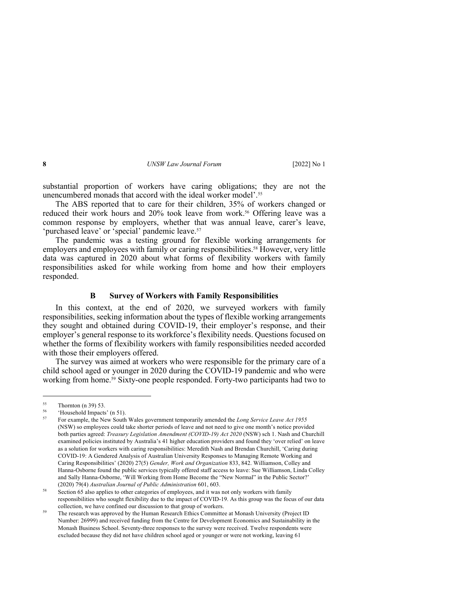substantial proportion of workers have caring obligations; they are not the unencumbered monads that accord with the ideal worker model'. 55

The ABS reported that to care for their children, 35% of workers changed or reduced their work hours and 20% took leave from work.56 Offering leave was a common response by employers, whether that was annual leave, carer's leave, 'purchased leave' or 'special' pandemic leave.<sup>57</sup>

The pandemic was a testing ground for flexible working arrangements for employers and employees with family or caring responsibilities.<sup>58</sup> However, very little data was captured in 2020 about what forms of flexibility workers with family responsibilities asked for while working from home and how their employers responded.

### **B Survey of Workers with Family Responsibilities**

In this context, at the end of 2020, we surveyed workers with family responsibilities, seeking information about the types of flexible working arrangements they sought and obtained during COVID-19, their employer's response, and their employer's general response to its workforce's flexibility needs. Questions focused on whether the forms of flexibility workers with family responsibilities needed accorded with those their employers offered.

The survey was aimed at workers who were responsible for the primary care of a child school aged or younger in 2020 during the COVID-19 pandemic and who were working from home. <sup>59</sup> Sixty-one people responded. Forty-two participants had two to

 $\frac{55}{56}$  Thornton (n 39) 53.

 $^{56}$  'Household Impacts' (n 51).

<sup>57</sup> For example, the New South Wales government temporarily amended the *Long Service Leave Act 1955* (NSW) so employees could take shorter periods of leave and not need to give one month's notice provided both parties agreed: *Treasury Legislation Amendment (COVID-19) Act 2020* (NSW) sch 1. Nash and Churchill examined policies instituted by Australia's 41 higher education providers and found they 'over relied' on leave as a solution for workers with caring responsibilities: Meredith Nash and Brendan Churchill, 'Caring during COVID-19: A Gendered Analysis of Australian University Responses to Managing Remote Working and Caring Responsibilities' (2020) 27(5) *Gender, Work and Organization* 833, 842. Williamson, Colley and Hanna-Osborne found the public services typically offered staff access to leave: Sue Williamson, Linda Colley and Sally Hanna-Osborne, 'Will Working from Home Become the "New Normal" in the Public Sector?' (2020) 79(4) *Australian Journal of Public Administration* 601, 603.

<sup>&</sup>lt;sup>58</sup> Section 65 also applies to other categories of employees, and it was not only workers with family responsibilities who sought flexibility due to the impact of COVID-19. As this group was the focus of our data collection, we have confined our discussion to that group of workers.

<sup>&</sup>lt;sup>59</sup> The research was approved by the Human Research Ethics Committee at Monash University (Project ID Number: 26999) and received funding from the Centre for Development Economics and Sustainability in the Monash Business School. Seventy-three responses to the survey were received. Twelve respondents were excluded because they did not have children school aged or younger or were not working, leaving 61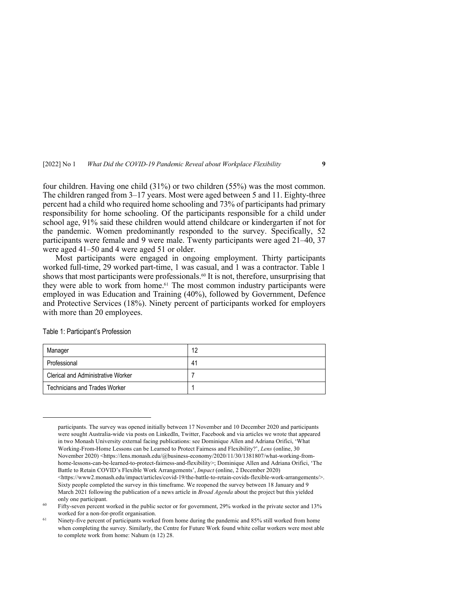four children. Having one child (31%) or two children (55%) was the most common. The children ranged from 3–17 years. Most were aged between 5 and 11. Eighty-three percent had a child who required home schooling and 73% of participants had primary responsibility for home schooling. Of the participants responsible for a child under school age, 91% said these children would attend childcare or kindergarten if not for the pandemic. Women predominantly responded to the survey. Specifically, 52 participants were female and 9 were male. Twenty participants were aged 21–40, 37 were aged 41–50 and 4 were aged 51 or older.

Most participants were engaged in ongoing employment. Thirty participants worked full-time, 29 worked part-time, 1 was casual, and 1 was a contractor. Table 1 shows that most participants were professionals.<sup>60</sup> It is not, therefore, unsurprising that they were able to work from home.61 The most common industry participants were employed in was Education and Training (40%), followed by Government, Defence and Protective Services (18%). Ninety percent of participants worked for employers with more than 20 employees.

| Manager                                   | 12 |
|-------------------------------------------|----|
| Professional                              | 41 |
| <b>Clerical and Administrative Worker</b> |    |
| <b>Technicians and Trades Worker</b>      |    |

Table 1: Participant's Profession

participants. The survey was opened initially between 17 November and 10 December 2020 and participants were sought Australia-wide via posts on LinkedIn, Twitter, Facebook and via articles we wrote that appeared in two Monash University external facing publications: see Dominique Allen and Adriana Orifici, 'What Working-From-Home Lessons can be Learned to Protect Fairness and Flexibility?', *Lens* (online, 30 November 2020) <https://lens.monash.edu/@business-economy/2020/11/30/1381807/what-working-fromhome-lessons-can-be-learned-to-protect-fairness-and-flexibility>; Dominique Allen and Adriana Orifici, 'The Battle to Retain COVID's Flexible Work Arrangements', *Impact* (online, 2 December 2020) <https://www2.monash.edu/impact/articles/covid-19/the-battle-to-retain-covids-flexible-work-arrangements/>. Sixty people completed the survey in this timeframe. We reopened the survey between 18 January and 9 March 2021 following the publication of a news article in *Broad Agenda* about the project but this yielded only one participant.<br><sup>60</sup> Fifty-seven percent worked in the public sector or for government, 29% worked in the private sector and 13%

worked for a non-for-profit organisation.

<sup>&</sup>lt;sup>61</sup> Ninety-five percent of participants worked from home during the pandemic and 85% still worked from home when completing the survey. Similarly, the Centre for Future Work found white collar workers were most able to complete work from home: Nahum (n 12) 28.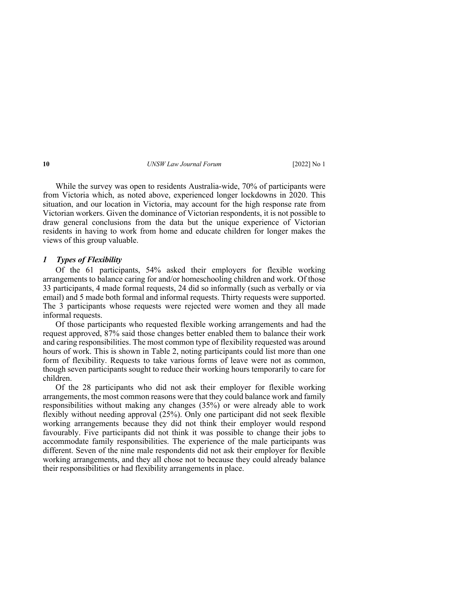While the survey was open to residents Australia-wide, 70% of participants were from Victoria which, as noted above, experienced longer lockdowns in 2020. This situation, and our location in Victoria, may account for the high response rate from Victorian workers. Given the dominance of Victorian respondents, it is not possible to draw general conclusions from the data but the unique experience of Victorian residents in having to work from home and educate children for longer makes the views of this group valuable.

#### *1 Types of Flexibility*

Of the 61 participants, 54% asked their employers for flexible working arrangements to balance caring for and/or homeschooling children and work. Of those 33 participants, 4 made formal requests, 24 did so informally (such as verbally or via email) and 5 made both formal and informal requests. Thirty requests were supported. The 3 participants whose requests were rejected were women and they all made informal requests.

Of those participants who requested flexible working arrangements and had the request approved, 87% said those changes better enabled them to balance their work and caring responsibilities. The most common type of flexibility requested was around hours of work. This is shown in Table 2, noting participants could list more than one form of flexibility. Requests to take various forms of leave were not as common, though seven participants sought to reduce their working hours temporarily to care for children.

Of the 28 participants who did not ask their employer for flexible working arrangements, the most common reasons were that they could balance work and family responsibilities without making any changes (35%) or were already able to work flexibly without needing approval (25%). Only one participant did not seek flexible working arrangements because they did not think their employer would respond favourably. Five participants did not think it was possible to change their jobs to accommodate family responsibilities. The experience of the male participants was different. Seven of the nine male respondents did not ask their employer for flexible working arrangements, and they all chose not to because they could already balance their responsibilities or had flexibility arrangements in place.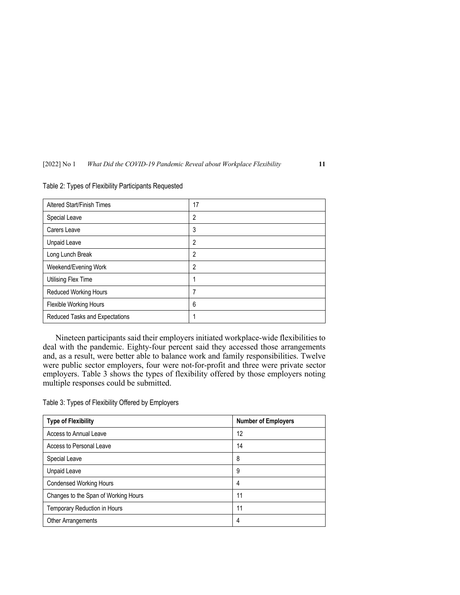| Altered Start/Finish Times     | 17 |
|--------------------------------|----|
| Special Leave                  | 2  |
| Carers Leave                   | 3  |
| Unpaid Leave                   | 2  |
| Long Lunch Break               | 2  |
| Weekend/Evening Work           | 2  |
| Utilising Flex Time            |    |
| <b>Reduced Working Hours</b>   | 7  |
| Flexible Working Hours         | 6  |
| Reduced Tasks and Expectations |    |

Table 2: Types of Flexibility Participants Requested

Nineteen participants said their employers initiated workplace-wide flexibilities to deal with the pandemic. Eighty-four percent said they accessed those arrangements and, as a result, were better able to balance work and family responsibilities. Twelve were public sector employers, four were not-for-profit and three were private sector employers. Table 3 shows the types of flexibility offered by those employers noting multiple responses could be submitted.

Table 3: Types of Flexibility Offered by Employers

| <b>Type of Flexibility</b>           | <b>Number of Employers</b> |
|--------------------------------------|----------------------------|
| Access to Annual Leave               | 12                         |
| Access to Personal Leave             | 14                         |
| Special Leave                        | 8                          |
| Unpaid Leave                         | 9                          |
| <b>Condensed Working Hours</b>       | 4                          |
| Changes to the Span of Working Hours | 11                         |
| Temporary Reduction in Hours         | 11                         |
| Other Arrangements                   | 4                          |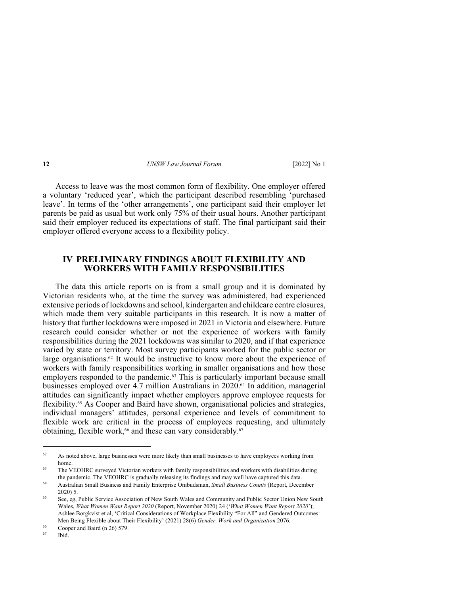Access to leave was the most common form of flexibility. One employer offered a voluntary 'reduced year', which the participant described resembling 'purchased leave'. In terms of the 'other arrangements', one participant said their employer let parents be paid as usual but work only 75% of their usual hours. Another participant said their employer reduced its expectations of staff. The final participant said their employer offered everyone access to a flexibility policy.

# **IV PRELIMINARY FINDINGS ABOUT FLEXIBILITY AND WORKERS WITH FAMILY RESPONSIBILITIES**

The data this article reports on is from a small group and it is dominated by Victorian residents who, at the time the survey was administered, had experienced extensive periods of lockdowns and school, kindergarten and childcare centre closures, which made them very suitable participants in this research. It is now a matter of history that further lockdowns were imposed in 2021 in Victoria and elsewhere. Future research could consider whether or not the experience of workers with family responsibilities during the 2021 lockdowns was similar to 2020, and if that experience varied by state or territory. Most survey participants worked for the public sector or large organisations.<sup>62</sup> It would be instructive to know more about the experience of workers with family responsibilities working in smaller organisations and how those employers responded to the pandemic.<sup>63</sup> This is particularly important because small businesses employed over 4.7 million Australians in 2020.64 In addition, managerial attitudes can significantly impact whether employers approve employee requests for flexibility.<sup>65</sup> As Cooper and Baird have shown, organisational policies and strategies, individual managers' attitudes, personal experience and levels of commitment to flexible work are critical in the process of employees requesting, and ultimately obtaining, flexible work,<sup>66</sup> and these can vary considerably.<sup>67</sup>

<sup>&</sup>lt;sup>62</sup> As noted above, large businesses were more likely than small businesses to have employees working from home.<br><sup>63</sup> The VEOHRC surveyed Victorian workers with family responsibilities and workers with disabilities during

the pandemic. The VEOHRC is gradually releasing its findings and may well have captured this data. 64 Australian Small Business and Family Enterprise Ombudsman, *Small Business Counts* (Report, December

<sup>2020) 5.&</sup>lt;br><sup>65</sup> See, eg, Public Service Association of New South Wales and Community and Public Sector Union New South

Wales, *What Women Want Report 2020* (Report, November 2020) 24 ('*What Women Want Report 2020*'); Ashlee Borgkvist et al, 'Critical Considerations of Workplace Flexibility "For All" and Gendered Outcomes: Men Being Flexible about Their Flexibility' (2021) 28(6) *Gender, Work and Organization* 2076.

 $^{66}$  Cooper and Baird (n 26) 579.

<sup>67</sup> Ibid.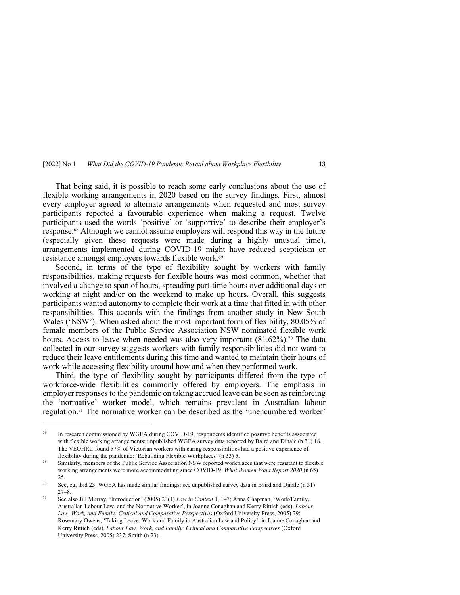That being said, it is possible to reach some early conclusions about the use of flexible working arrangements in 2020 based on the survey findings. First, almost every employer agreed to alternate arrangements when requested and most survey participants reported a favourable experience when making a request. Twelve participants used the words 'positive' or 'supportive' to describe their employer's response.68 Although we cannot assume employers will respond this way in the future (especially given these requests were made during a highly unusual time), arrangements implemented during COVID-19 might have reduced scepticism or resistance amongst employers towards flexible work. 69

Second, in terms of the type of flexibility sought by workers with family responsibilities, making requests for flexible hours was most common, whether that involved a change to span of hours, spreading part-time hours over additional days or working at night and/or on the weekend to make up hours. Overall, this suggests participants wanted autonomy to complete their work at a time that fitted in with other responsibilities. This accords with the findings from another study in New South Wales ('NSW'). When asked about the most important form of flexibility, 80.05% of female members of the Public Service Association NSW nominated flexible work hours. Access to leave when needed was also very important  $(81.62\%)$ .<sup>70</sup> The data collected in our survey suggests workers with family responsibilities did not want to reduce their leave entitlements during this time and wanted to maintain their hours of work while accessing flexibility around how and when they performed work.

Third, the type of flexibility sought by participants differed from the type of workforce-wide flexibilities commonly offered by employers. The emphasis in employer responses to the pandemic on taking accrued leave can be seen as reinforcing the 'normative' worker model, which remains prevalent in Australian labour regulation.71 The normative worker can be described as the 'unencumbered worker'

<sup>68</sup> In research commissioned by WGEA during COVID-19, respondents identified positive benefits associated with flexible working arrangements: unpublished WGEA survey data reported by Baird and Dinale (n 31) 18. The VEOHRC found 57% of Victorian workers with caring responsibilities had a positive experience of flexibility during the pandemic: 'Rebuilding Flexible Workplaces' (n 33) 5.

<sup>69</sup> Similarly, members of the Public Service Association NSW reported workplaces that were resistant to flexible working arrangements were more accommodating since COVID-19: *What Women Want Report 2020* (n 65) 25. 25. 25. 25. 89, ibid 23. WGEA has made similar findings: see unpublished survey data in Baird and Dinale (n 31)

<sup>27–8.</sup>

<sup>71</sup> See also Jill Murray, 'Introduction' (2005) 23(1) *Law in Context* 1, 1–7; Anna Chapman, 'Work/Family, Australian Labour Law, and the Normative Worker', in Joanne Conaghan and Kerry Rittich (eds), *Labour Law, Work, and Family: Critical and Comparative Perspectives* (Oxford University Press, 2005) 79; Rosemary Owens, 'Taking Leave: Work and Family in Australian Law and Policy', in Joanne Conaghan and Kerry Rittich (eds), *Labour Law, Work, and Family: Critical and Comparative Perspectives* (Oxford University Press, 2005) 237; Smith (n 23).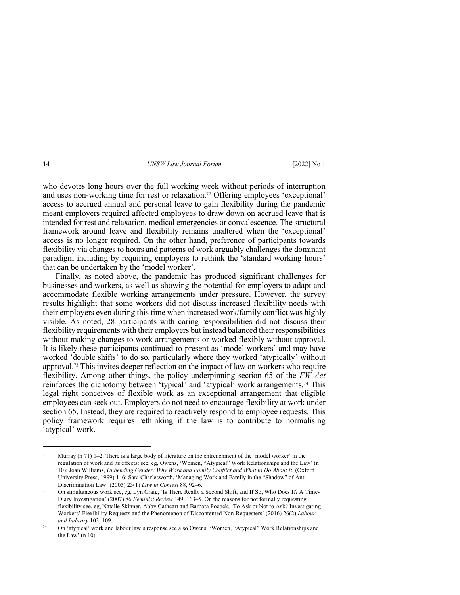who devotes long hours over the full working week without periods of interruption and uses non-working time for rest or relaxation. <sup>72</sup> Offering employees 'exceptional' access to accrued annual and personal leave to gain flexibility during the pandemic meant employers required affected employees to draw down on accrued leave that is intended for rest and relaxation, medical emergencies or convalescence. The structural framework around leave and flexibility remains unaltered when the 'exceptional' access is no longer required. On the other hand, preference of participants towards flexibility via changes to hours and patterns of work arguably challenges the dominant paradigm including by requiring employers to rethink the 'standard working hours' that can be undertaken by the 'model worker'.

Finally, as noted above, the pandemic has produced significant challenges for businesses and workers, as well as showing the potential for employers to adapt and accommodate flexible working arrangements under pressure. However, the survey results highlight that some workers did not discuss increased flexibility needs with their employers even during this time when increased work/family conflict was highly visible. As noted, 28 participants with caring responsibilities did not discuss their flexibility requirements with their employers but instead balanced their responsibilities without making changes to work arrangements or worked flexibly without approval. It is likely these participants continued to present as 'model workers' and may have worked 'double shifts' to do so, particularly where they worked 'atypically' without approval. <sup>73</sup> This invites deeper reflection on the impact of law on workers who require flexibility. Among other things, the policy underpinning section 65 of the *FW Act* reinforces the dichotomy between 'typical' and 'atypical' work arrangements.74 This legal right conceives of flexible work as an exceptional arrangement that eligible employees can seek out. Employers do not need to encourage flexibility at work under section 65. Instead, they are required to reactively respond to employee requests. This policy framework requires rethinking if the law is to contribute to normalising 'atypical' work.

<sup>72</sup> Murray (n 71) 1–2. There is a large body of literature on the entrenchment of the 'model worker' in the regulation of work and its effects: see, eg, Owens, 'Women, "Atypical" Work Relationships and the Law' (n 10); Joan Williams, *Unbending Gender: Why Work and Family Conflict and What to Do About It*, (Oxford University Press, 1999) 1–6; Sara Charlesworth, 'Managing Work and Family in the "Shadow" of Anti-

Discrimination Law' (2005) 23(1) *Law in Context* 88, 92–6.<br>
On simultaneous work see, eg, Lyn Craig, 'Is There Really a Second Shift, and If So, Who Does It? A Time-Diary Investigation' (2007) 86 *Feminist Review* 149, 163–5. On the reasons for not formally requesting flexibility see, eg, Natalie Skinner, Abby Cathcart and Barbara Pocock, 'To Ask or Not to Ask? Investigating Workers' Flexibility Requests and the Phenomenon of Discontented Non-Requesters' (2016) 26(2) *Labour and Industry* 103, 109.

<sup>74</sup> On 'atypical' work and labour law's response see also Owens, 'Women, "Atypical" Work Relationships and the Law' (n 10).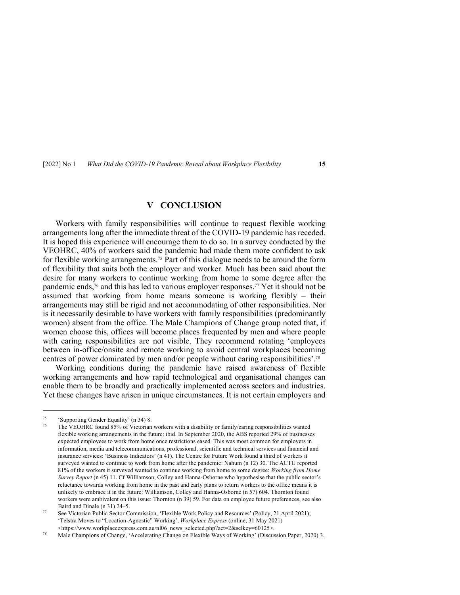## **V CONCLUSION**

Workers with family responsibilities will continue to request flexible working arrangements long after the immediate threat of the COVID-19 pandemic has receded. It is hoped this experience will encourage them to do so. In a survey conducted by the VEOHRC, 40% of workers said the pandemic had made them more confident to ask for flexible working arrangements. <sup>75</sup> Part of this dialogue needs to be around the form of flexibility that suits both the employer and worker. Much has been said about the desire for many workers to continue working from home to some degree after the pandemic ends, <sup>76</sup> and this has led to various employer responses. <sup>77</sup> Yet it should not be assumed that working from home means someone is working flexibly – their arrangements may still be rigid and not accommodating of other responsibilities. Nor is it necessarily desirable to have workers with family responsibilities (predominantly women) absent from the office. The Male Champions of Change group noted that, if women choose this, offices will become places frequented by men and where people with caring responsibilities are not visible. They recommend rotating 'employees between in-office/onsite and remote working to avoid central workplaces becoming centres of power dominated by men and/or people without caring responsibilities'. 78

Working conditions during the pandemic have raised awareness of flexible working arrangements and how rapid technological and organisational changes can enable them to be broadly and practically implemented across sectors and industries. Yet these changes have arisen in unique circumstances. It is not certain employers and

<sup>&</sup>lt;sup>75</sup> 'Supporting Gender Equality' (n 34) 8.

<sup>76</sup> The VEOHRC found 85% of Victorian workers with a disability or family/caring responsibilities wanted flexible working arrangements in the future: ibid. In September 2020, the ABS reported 29% of businesses expected employees to work from home once restrictions eased. This was most common for employers in information, media and telecommunications, professional, scientific and technical services and financial and insurance services: 'Business Indicators' (n 41). The Centre for Future Work found a third of workers it surveyed wanted to continue to work from home after the pandemic: Nahum (n 12) 30. The ACTU reported 81% of the workers it surveyed wanted to continue working from home to some degree: *Working from Home Survey Report* (n 45) 11. Cf Williamson, Colley and Hanna-Osborne who hypothesise that the public sector's reluctance towards working from home in the past and early plans to return workers to the office means it is unlikely to embrace it in the future: Williamson, Colley and Hanna-Osborne (n 57) 604. Thornton found workers were ambivalent on this issue: Thornton (n 39) 59. For data on employee future preferences, see also Baird and Dinale (n 31) 24–5.

<sup>77</sup> See Victorian Public Sector Commission, 'Flexible Work Policy and Resources' (Policy, 21 April 2021); 'Telstra Moves to "Location-Agnostic" Working', *Workplace Express* (online, 31 May 2021)

<sup>&</sup>lt;https://www.workplaceexpress.com.au/nl06\_news\_selected.php?act=2&selkey=60125>. 78 Male Champions of Change, 'Accelerating Change on Flexible Ways of Working' (Discussion Paper, 2020) 3.